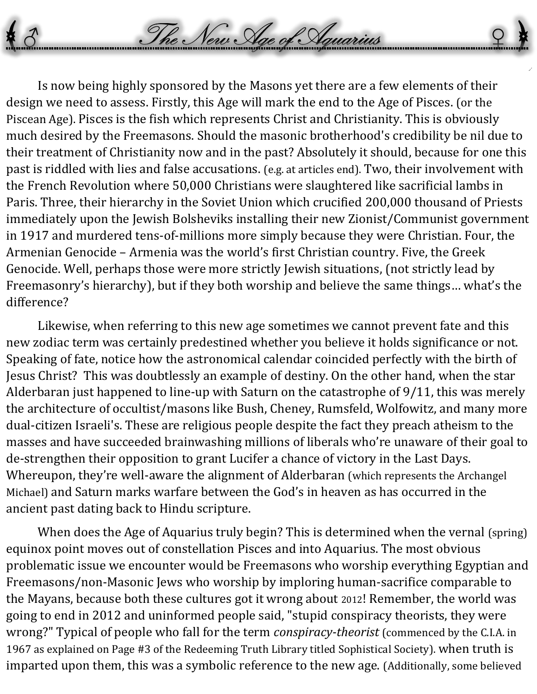Is now being highly sponsored by the Masons yet there are a few elements of their design we need to assess. Firstly, this Age will mark the end to the Age of Pisces. (or the Piscean Age). Pisces is the fish which represents Christ and Christianity. This is obviously much desired by the Freemasons. Should the masonic brotherhood's credibility be nil due to their treatment of Christianity now and in the past? Absolutely it should, because for one this past is riddled with lies and false accusations. (e.g. at articles end). Two, their involvement with the French Revolution where 50,000 Christians were slaughtered like sacrificial lambs in Paris. Three, their hierarchy in the Soviet Union which crucified 200,000 thousand of Priests immediately upon the Jewish Bolsheviks installing their new Zionist/Communist government in 1917 and murdered tens-of-millions more simply because they were Christian. Four, the Armenian Genocide – Armenia was the world's first Christian country. Five, the Greek Genocide. Well, perhaps those were more strictly Jewish situations, (not strictly lead by Freemasonry's hierarchy), but if they both worship and believe the same things… what's the difference?

The New Age of Aguarius

Likewise, when referring to this new age sometimes we cannot prevent fate and this new zodiac term was certainly predestined whether you believe it holds significance or not. Speaking of fate, notice how the astronomical calendar coincided perfectly with the birth of Jesus Christ? This was doubtlessly an example of destiny. On the other hand, when the star Alderbaran just happened to line-up with Saturn on the catastrophe of 9/11, this was merely the architecture of occultist/masons like Bush, Cheney, Rumsfeld, Wolfowitz, and many more dual-citizen Israeli's. These are religious people despite the fact they preach atheism to the masses and have succeeded brainwashing millions of liberals who're unaware of their goal to de-strengthen their opposition to grant Lucifer a chance of victory in the Last Days. Whereupon, they're well-aware the alignment of Alderbaran (which represents the Archangel Michael) and Saturn marks warfare between the God's in heaven as has occurred in the ancient past dating back to Hindu scripture.

When does the Age of Aquarius truly begin? This is determined when the vernal (spring) equinox point moves out of constellation Pisces and into Aquarius. The most obvious problematic issue we encounter would be Freemasons who worship everything Egyptian and Freemasons/non-Masonic Jews who worship by imploring human-sacrifice comparable to the Mayans, because both these cultures got it wrong about 2012! Remember, the world was going to end in 2012 and uninformed people said, "stupid conspiracy theorists, they were wrong?" Typical of people who fall for the term *conspiracy-theorist* (commenced by the C.I.A. in 1967 as explained on Page #3 of the Redeeming Truth Library titled Sophistical Society). when truth is imparted upon them, this was a symbolic reference to the new age. (Additionally, some believed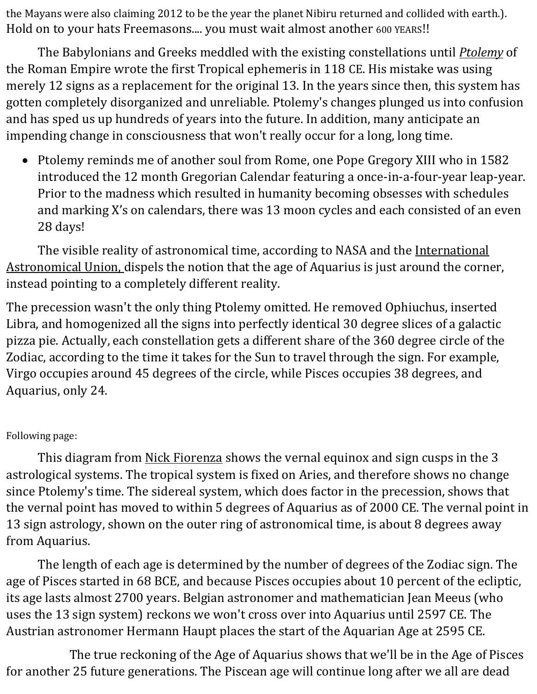the Mayans were also claiming 2012 to be the year the planet Nibiru returned and collided with earth.). Hold on to your hats Freemasons.... you must wait almost another 600 YEARS!!

The Babylonians and Greeks meddled with the existing constellations until *[Ptolemy](http://siderealist.com/occupy-astrology.html#ptolemy)* of the Roman Empire wrote the first Tropical ephemeris in 118 CE. His mistake was using merely 12 signs as a replacement for the original 13. In the years since then, this system has gotten completely disorganized and unreliable. Ptolemy's changes plunged us into confusion and has sped us up hundreds of years into the future. In addition, many anticipate an impending change in consciousness that won't really occur for a long, long time.

• Ptolemy reminds me of another soul from Rome, one Pope Gregory XIII who in 1582 introduced the 12 month Gregorian Calendar featuring a once-in-a-four-year leap-year. Prior to the madness which resulted in humanity becoming obsesses with schedules and marking X's on calendars, there was 13 moon cycles and each consisted of an even 28 days!

The visible reality of astronomical time, according to NASA and the International [Astronomical Union, d](http://http/www.iau.org)ispels the notion that the age of Aquarius is just around the corner, instead pointing to a completely different reality.

The precession wasn't the only thing Ptolemy omitted. He removed Ophiuchus, inserted Libra, and homogenized all the signs into perfectly identical 30 degree slices of a galactic pizza pie. Actually, each constellation gets a different share of the 360 degree circle of the Zodiac, according to the time it takes for the Sun to travel through the sign. For example, Virgo occupies around 45 degrees of the circle, while Pisces occupies 38 degrees, and Aquarius, only 24.

## Following page:

This diagram from [Nick Fiorenza](http://lunarplanner.com/) shows the vernal equinox and sign cusps in the 3 astrological systems. The tropical system is fixed on Aries, and therefore shows no change since Ptolemy's time. The sidereal system, which does factor in the precession, shows that the vernal point has moved to within 5 degrees of Aquarius as of 2000 CE. The vernal point in 13 sign astrology, shown on the outer ring of astronomical time, is about 8 degrees away from Aquarius.

The length of each age is determined by the number of degrees of the Zodiac sign. The age of Pisces started in 68 BCE, and because Pisces occupies about 10 percent of the ecliptic, its age lasts almost 2700 years. Belgian astronomer and mathematician Jean Meeus (who uses the 13 sign system) reckons we won't cross over into Aquarius until 2597 CE. The Austrian astronomer Hermann Haupt places the start of the Aquarian Age at 2595 CE.

The true reckoning of the Age of Aquarius shows that we'll be in the Age of Pisces for another 25 future generations. The Piscean age will continue long after we all are dead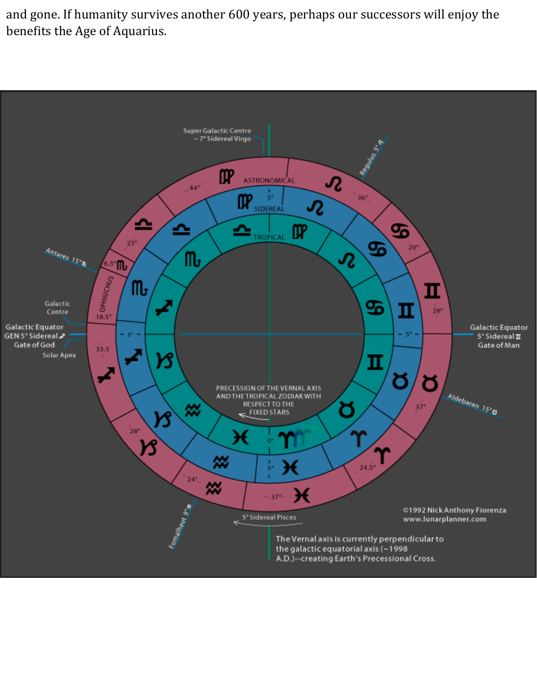and gone. If humanity survives another 600 years, perhaps our successors will enjoy the benefits the Age of Aquarius.

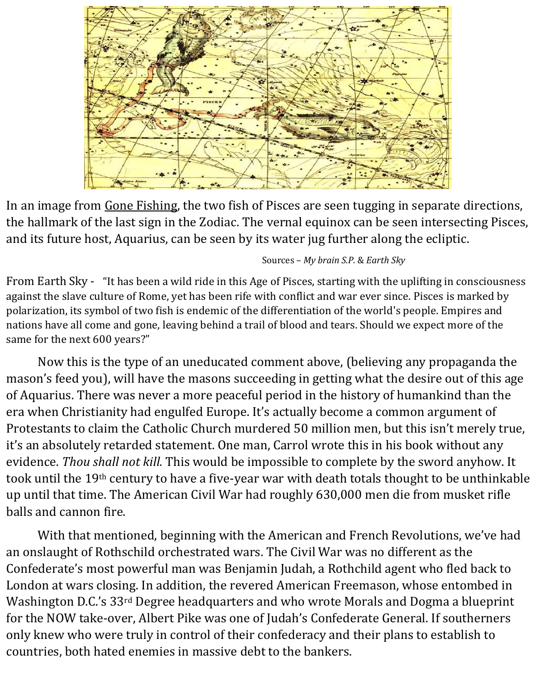

In an image from [Gone Fishing,](http://gone-fishing.org/) the two fish of Pisces are seen tugging in separate directions, the hallmark of the last sign in the Zodiac. The vernal equinox can be seen intersecting Pisces, and its future host, Aquarius, can be seen by its water jug further along the ecliptic.

## Sources – *My brain S.P.* & *Earth Sky*

From Earth Sky - "It has been a wild ride in this Age of Pisces, starting with the uplifting in consciousness against the slave culture of Rome, yet has been rife with conflict and war ever since. Pisces is marked by polarization, its symbol of two fish is endemic of the differentiation of the world's people. Empires and nations have all come and gone, leaving behind a trail of blood and tears. Should we expect more of the same for the next 600 years?"

Now this is the type of an uneducated comment above, (believing any propaganda the mason's feed you), will have the masons succeeding in getting what the desire out of this age of Aquarius. There was never a more peaceful period in the history of humankind than the era when Christianity had engulfed Europe. It's actually become a common argument of Protestants to claim the Catholic Church murdered 50 million men, but this isn't merely true, it's an absolutely retarded statement. One man, Carrol wrote this in his book without any evidence. *Thou shall not kill.* This would be impossible to complete by the sword anyhow. It took until the 19th century to have a five-year war with death totals thought to be unthinkable up until that time. The American Civil War had roughly 630,000 men die from musket rifle balls and cannon fire.

With that mentioned, beginning with the American and French Revolutions, we've had an onslaught of Rothschild orchestrated wars. The Civil War was no different as the Confederate's most powerful man was Benjamin Judah, a Rothchild agent who fled back to London at wars closing. In addition, the revered American Freemason, whose entombed in Washington D.C.'s 33rd Degree headquarters and who wrote Morals and Dogma a blueprint for the NOW take-over, Albert Pike was one of Judah's Confederate General. If southerners only knew who were truly in control of their confederacy and their plans to establish to countries, both hated enemies in massive debt to the bankers.